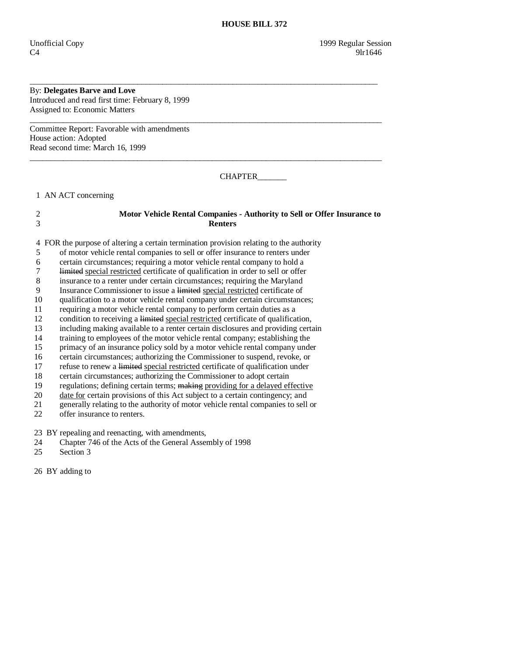#### By: **Delegates Barve and Love**  Introduced and read first time: February 8, 1999

Assigned to: Economic Matters

Committee Report: Favorable with amendments House action: Adopted Read second time: March 16, 1999

CHAPTER\_\_\_\_\_\_\_

1 AN ACT concerning

# 2 **Motor Vehicle Rental Companies - Authority to Sell or Offer Insurance to**  3 **Renters**

\_\_\_\_\_\_\_\_\_\_\_\_\_\_\_\_\_\_\_\_\_\_\_\_\_\_\_\_\_\_\_\_\_\_\_\_\_\_\_\_\_\_\_\_\_\_\_\_\_\_\_\_\_\_\_\_\_\_\_\_\_\_\_\_\_\_\_\_\_\_\_\_\_\_\_\_\_\_\_\_\_\_\_\_

\_\_\_\_\_\_\_\_\_\_\_\_\_\_\_\_\_\_\_\_\_\_\_\_\_\_\_\_\_\_\_\_\_\_\_\_\_\_\_\_\_\_\_\_\_\_\_\_\_\_\_\_\_\_\_\_\_\_\_\_\_\_\_\_\_\_\_\_\_\_\_\_\_\_\_\_\_\_\_\_\_\_\_\_\_

\_\_\_\_\_\_\_\_\_\_\_\_\_\_\_\_\_\_\_\_\_\_\_\_\_\_\_\_\_\_\_\_\_\_\_\_\_\_\_\_\_\_\_\_\_\_\_\_\_\_\_\_\_\_\_\_\_\_\_\_\_\_\_\_\_\_\_\_\_\_\_\_\_\_\_\_\_\_\_\_\_\_\_\_\_

4 FOR the purpose of altering a certain termination provision relating to the authority

- 5 of motor vehicle rental companies to sell or offer insurance to renters under
- 6 certain circumstances; requiring a motor vehicle rental company to hold a
- 7 limited special restricted certificate of qualification in order to sell or offer
- 8 insurance to a renter under certain circumstances; requiring the Maryland
- 9 Insurance Commissioner to issue a limited special restricted certificate of
- 10 qualification to a motor vehicle rental company under certain circumstances;
- 11 requiring a motor vehicle rental company to perform certain duties as a
- 12 condition to receiving a limited special restricted certificate of qualification,
- 13 including making available to a renter certain disclosures and providing certain
- 14 training to employees of the motor vehicle rental company; establishing the
- 15 primacy of an insurance policy sold by a motor vehicle rental company under
- 16 certain circumstances; authorizing the Commissioner to suspend, revoke, or
- 17 refuse to renew a limited special restricted certificate of qualification under
- 18 certain circumstances; authorizing the Commissioner to adopt certain
- 19 regulations; defining certain terms; making providing for a delayed effective
- 20 date for certain provisions of this Act subject to a certain contingency; and 21 generally relating to the authority of motor vehicle rental companies to sell
- 21 generally relating to the authority of motor vehicle rental companies to sell or offer insurance to renters.
- offer insurance to renters.

23 BY repealing and reenacting, with amendments,

- 24 Chapter 746 of the Acts of the General Assembly of 1998
- 25 Section 3

26 BY adding to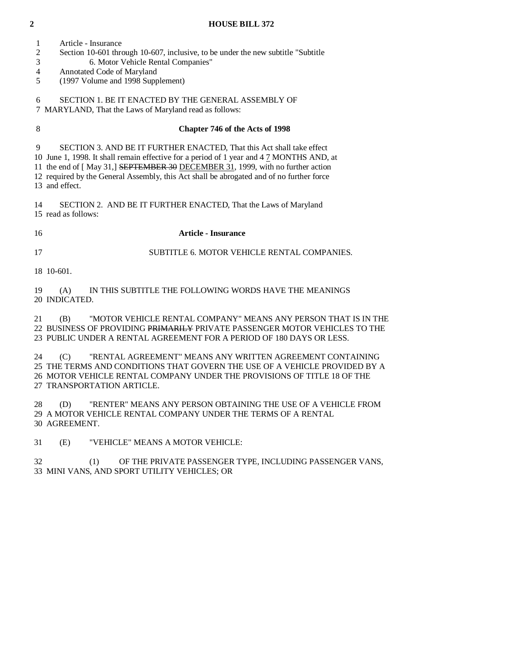- 1 Article Insurance
- 2 Section 10-601 through 10-607, inclusive, to be under the new subtitle "Subtitle
- 3 6. Motor Vehicle Rental Companies"
- 4 Annotated Code of Maryland
- 5 (1997 Volume and 1998 Supplement)

 6 SECTION 1. BE IT ENACTED BY THE GENERAL ASSEMBLY OF 7 MARYLAND, That the Laws of Maryland read as follows:

## 8 **Chapter 746 of the Acts of 1998**

9 SECTION 3. AND BE IT FURTHER ENACTED, That this Act shall take effect

10 June 1, 1998. It shall remain effective for a period of 1 year and 4 7 MONTHS AND, at

 11 the end of [ May 31,] SEPTEMBER 30 DECEMBER 31, 1999, with no further action 12 required by the General Assembly, this Act shall be abrogated and of no further force

13 and effect.

 14 SECTION 2. AND BE IT FURTHER ENACTED, That the Laws of Maryland 15 read as follows:

#### 16 **Article - Insurance**

17 SUBTITLE 6. MOTOR VEHICLE RENTAL COMPANIES.

18 10-601.

 19 (A) IN THIS SUBTITLE THE FOLLOWING WORDS HAVE THE MEANINGS 20 INDICATED.

 21 (B) "MOTOR VEHICLE RENTAL COMPANY" MEANS ANY PERSON THAT IS IN THE 22 BUSINESS OF PROVIDING PRIMARILY PRIVATE PASSENGER MOTOR VEHICLES TO THE 23 PUBLIC UNDER A RENTAL AGREEMENT FOR A PERIOD OF 180 DAYS OR LESS.

 24 (C) "RENTAL AGREEMENT" MEANS ANY WRITTEN AGREEMENT CONTAINING 25 THE TERMS AND CONDITIONS THAT GOVERN THE USE OF A VEHICLE PROVIDED BY A 26 MOTOR VEHICLE RENTAL COMPANY UNDER THE PROVISIONS OF TITLE 18 OF THE 27 TRANSPORTATION ARTICLE.

 28 (D) "RENTER" MEANS ANY PERSON OBTAINING THE USE OF A VEHICLE FROM 29 A MOTOR VEHICLE RENTAL COMPANY UNDER THE TERMS OF A RENTAL 30 AGREEMENT.

31 (E) "VEHICLE" MEANS A MOTOR VEHICLE:

 32 (1) OF THE PRIVATE PASSENGER TYPE, INCLUDING PASSENGER VANS, 33 MINI VANS, AND SPORT UTILITY VEHICLES; OR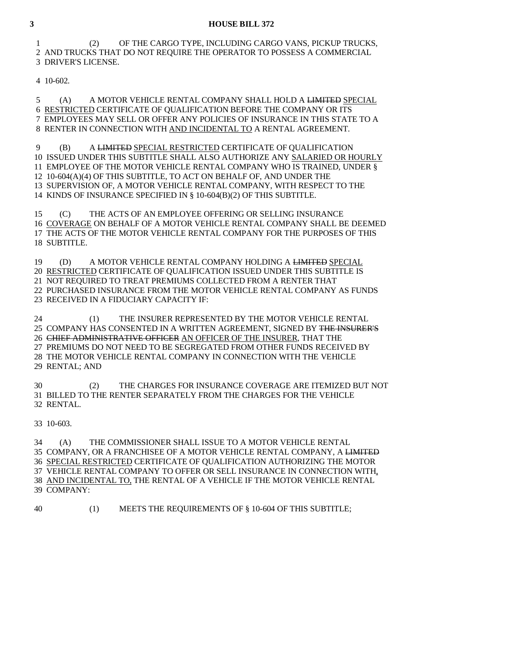1 (2) OF THE CARGO TYPE, INCLUDING CARGO VANS, PICKUP TRUCKS, 2 AND TRUCKS THAT DO NOT REQUIRE THE OPERATOR TO POSSESS A COMMERCIAL 3 DRIVER'S LICENSE.

4 10-602.

 5 (A) A MOTOR VEHICLE RENTAL COMPANY SHALL HOLD A LIMITED SPECIAL 6 RESTRICTED CERTIFICATE OF QUALIFICATION BEFORE THE COMPANY OR ITS 7 EMPLOYEES MAY SELL OR OFFER ANY POLICIES OF INSURANCE IN THIS STATE TO A 8 RENTER IN CONNECTION WITH AND INCIDENTAL TO A RENTAL AGREEMENT.

 9 (B) A LIMITED SPECIAL RESTRICTED CERTIFICATE OF QUALIFICATION 10 ISSUED UNDER THIS SUBTITLE SHALL ALSO AUTHORIZE ANY SALARIED OR HOURLY 11 EMPLOYEE OF THE MOTOR VEHICLE RENTAL COMPANY WHO IS TRAINED, UNDER § 12 10-604(A)(4) OF THIS SUBTITLE, TO ACT ON BEHALF OF, AND UNDER THE 13 SUPERVISION OF, A MOTOR VEHICLE RENTAL COMPANY, WITH RESPECT TO THE 14 KINDS OF INSURANCE SPECIFIED IN § 10-604(B)(2) OF THIS SUBTITLE.

 15 (C) THE ACTS OF AN EMPLOYEE OFFERING OR SELLING INSURANCE 16 COVERAGE ON BEHALF OF A MOTOR VEHICLE RENTAL COMPANY SHALL BE DEEMED 17 THE ACTS OF THE MOTOR VEHICLE RENTAL COMPANY FOR THE PURPOSES OF THIS 18 SUBTITLE.

 19 (D) A MOTOR VEHICLE RENTAL COMPANY HOLDING A LIMITED SPECIAL 20 RESTRICTED CERTIFICATE OF QUALIFICATION ISSUED UNDER THIS SUBTITLE IS 21 NOT REQUIRED TO TREAT PREMIUMS COLLECTED FROM A RENTER THAT 22 PURCHASED INSURANCE FROM THE MOTOR VEHICLE RENTAL COMPANY AS FUNDS 23 RECEIVED IN A FIDUCIARY CAPACITY IF:

 24 (1) THE INSURER REPRESENTED BY THE MOTOR VEHICLE RENTAL 25 COMPANY HAS CONSENTED IN A WRITTEN AGREEMENT, SIGNED BY THE INSURER'S 26 CHIEF ADMINISTRATIVE OFFICER AN OFFICER OF THE INSURER, THAT THE 27 PREMIUMS DO NOT NEED TO BE SEGREGATED FROM OTHER FUNDS RECEIVED BY 28 THE MOTOR VEHICLE RENTAL COMPANY IN CONNECTION WITH THE VEHICLE 29 RENTAL; AND

 30 (2) THE CHARGES FOR INSURANCE COVERAGE ARE ITEMIZED BUT NOT 31 BILLED TO THE RENTER SEPARATELY FROM THE CHARGES FOR THE VEHICLE 32 RENTAL.

33 10-603.

 34 (A) THE COMMISSIONER SHALL ISSUE TO A MOTOR VEHICLE RENTAL 35 COMPANY, OR A FRANCHISEE OF A MOTOR VEHICLE RENTAL COMPANY, A LIMITED 36 SPECIAL RESTRICTED CERTIFICATE OF QUALIFICATION AUTHORIZING THE MOTOR 37 VEHICLE RENTAL COMPANY TO OFFER OR SELL INSURANCE IN CONNECTION WITH, 38 AND INCIDENTAL TO, THE RENTAL OF A VEHICLE IF THE MOTOR VEHICLE RENTAL 39 COMPANY:

40 (1) MEETS THE REQUIREMENTS OF § 10-604 OF THIS SUBTITLE;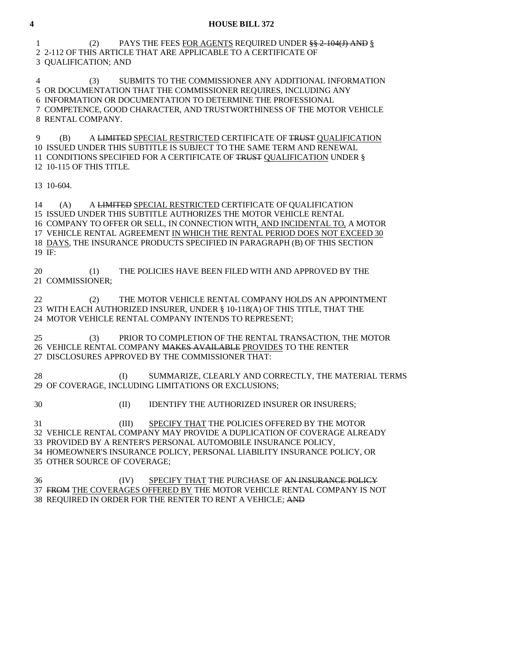1 (2) PAYS THE FEES FOR AGENTS REQUIRED UNDER §§ 2-104(J) AND § 2 2-112 OF THIS ARTICLE THAT ARE APPLICABLE TO A CERTIFICATE OF 3 QUALIFICATION; AND

 4 (3) SUBMITS TO THE COMMISSIONER ANY ADDITIONAL INFORMATION 5 OR DOCUMENTATION THAT THE COMMISSIONER REQUIRES, INCLUDING ANY 6 INFORMATION OR DOCUMENTATION TO DETERMINE THE PROFESSIONAL 7 COMPETENCE, GOOD CHARACTER, AND TRUSTWORTHINESS OF THE MOTOR VEHICLE 8 RENTAL COMPANY.

9 (B) A LIMITED SPECIAL RESTRICTED CERTIFICATE OF TRUST QUALIFICATION 10 ISSUED UNDER THIS SUBTITLE IS SUBJECT TO THE SAME TERM AND RENEWAL 11 CONDITIONS SPECIFIED FOR A CERTIFICATE OF TRUST QUALIFICATION UNDER § 12 10-115 OF THIS TITLE.

13 10-604.

 14 (A) A LIMITED SPECIAL RESTRICTED CERTIFICATE OF QUALIFICATION 15 ISSUED UNDER THIS SUBTITLE AUTHORIZES THE MOTOR VEHICLE RENTAL 16 COMPANY TO OFFER OR SELL, IN CONNECTION WITH, AND INCIDENTAL TO, A MOTOR 17 VEHICLE RENTAL AGREEMENT IN WHICH THE RENTAL PERIOD DOES NOT EXCEED 30 18 DAYS, THE INSURANCE PRODUCTS SPECIFIED IN PARAGRAPH (B) OF THIS SECTION 19 IF:

 20 (1) THE POLICIES HAVE BEEN FILED WITH AND APPROVED BY THE 21 COMMISSIONER;

 22 (2) THE MOTOR VEHICLE RENTAL COMPANY HOLDS AN APPOINTMENT 23 WITH EACH AUTHORIZED INSURER, UNDER § 10-118(A) OF THIS TITLE, THAT THE 24 MOTOR VEHICLE RENTAL COMPANY INTENDS TO REPRESENT;

 25 (3) PRIOR TO COMPLETION OF THE RENTAL TRANSACTION, THE MOTOR 26 VEHICLE RENTAL COMPANY MAKES AVAILABLE PROVIDES TO THE RENTER 27 DISCLOSURES APPROVED BY THE COMMISSIONER THAT:

28 (I) SUMMARIZE, CLEARLY AND CORRECTLY, THE MATERIAL TERMS 29 OF COVERAGE, INCLUDING LIMITATIONS OR EXCLUSIONS;

30 (II) IDENTIFY THE AUTHORIZED INSURER OR INSURERS;

 31 (III) SPECIFY THAT THE POLICIES OFFERED BY THE MOTOR 32 VEHICLE RENTAL COMPANY MAY PROVIDE A DUPLICATION OF COVERAGE ALREADY 33 PROVIDED BY A RENTER'S PERSONAL AUTOMOBILE INSURANCE POLICY, 34 HOMEOWNER'S INSURANCE POLICY, PERSONAL LIABILITY INSURANCE POLICY, OR 35 OTHER SOURCE OF COVERAGE;

36 (IV) SPECIFY THAT THE PURCHASE OF AN INSURANCE POLICY 37 FROM THE COVERAGES OFFERED BY THE MOTOR VEHICLE RENTAL COMPANY IS NOT 38 REQUIRED IN ORDER FOR THE RENTER TO RENT A VEHICLE; AND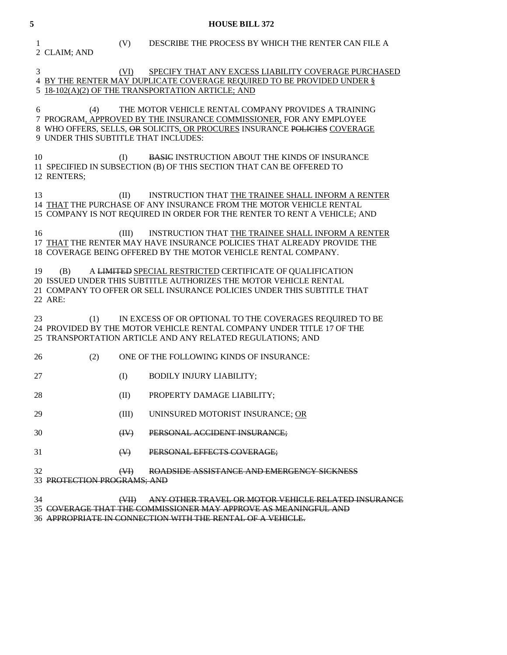1 (V) DESCRIBE THE PROCESS BY WHICH THE RENTER CAN FILE A 2 CLAIM; AND

# 3 (VI) SPECIFY THAT ANY EXCESS LIABILITY COVERAGE PURCHASED 4 BY THE RENTER MAY DUPLICATE COVERAGE REQUIRED TO BE PROVIDED UNDER § 5 18-102(A)(2) OF THE TRANSPORTATION ARTICLE; AND

 6 (4) THE MOTOR VEHICLE RENTAL COMPANY PROVIDES A TRAINING 7 PROGRAM, APPROVED BY THE INSURANCE COMMISSIONER, FOR ANY EMPLOYEE 8 WHO OFFERS, SELLS, OR SOLICITS, OR PROCURES INSURANCE POLICIES COVERAGE 9 UNDER THIS SUBTITLE THAT INCLUDES:

10 (I) BASIC INSTRUCTION ABOUT THE KINDS OF INSURANCE 11 SPECIFIED IN SUBSECTION (B) OF THIS SECTION THAT CAN BE OFFERED TO 12 RENTERS;

 13 (II) INSTRUCTION THAT THE TRAINEE SHALL INFORM A RENTER 14 THAT THE PURCHASE OF ANY INSURANCE FROM THE MOTOR VEHICLE RENTAL 15 COMPANY IS NOT REQUIRED IN ORDER FOR THE RENTER TO RENT A VEHICLE; AND

16 (III) INSTRUCTION THAT THE TRAINEE SHALL INFORM A RENTER 17 THAT THE RENTER MAY HAVE INSURANCE POLICIES THAT ALREADY PROVIDE THE 18 COVERAGE BEING OFFERED BY THE MOTOR VEHICLE RENTAL COMPANY.

 19 (B) A LIMITED SPECIAL RESTRICTED CERTIFICATE OF QUALIFICATION 20 ISSUED UNDER THIS SUBTITLE AUTHORIZES THE MOTOR VEHICLE RENTAL 21 COMPANY TO OFFER OR SELL INSURANCE POLICIES UNDER THIS SUBTITLE THAT 22 ARE:

 23 (1) IN EXCESS OF OR OPTIONAL TO THE COVERAGES REQUIRED TO BE 24 PROVIDED BY THE MOTOR VEHICLE RENTAL COMPANY UNDER TITLE 17 OF THE 25 TRANSPORTATION ARTICLE AND ANY RELATED REGULATIONS; AND

- 26 (2) ONE OF THE FOLLOWING KINDS OF INSURANCE:
- 27 (I) BODILY INJURY LIABILITY;
- 28 (II) PROPERTY DAMAGE LIABILITY;

29 (III) UNINSURED MOTORIST INSURANCE; OR

- 30 (IV) PERSONAL ACCIDENT INSURANCE;
- 31 **(V)** PERSONAL EFFECTS COVERAGE;

#### 32 (VI) ROADSIDE ASSISTANCE AND EMERGENCY SICKNESS 33 PROTECTION PROGRAMS; AND

- 34 (VII) ANY OTHER TRAVEL OR MOTOR VEHICLE RELATED INSURANCE
- 35 COVERAGE THAT THE COMMISSIONER MAY APPROVE AS MEANINGFUL AND
- 36 APPROPRIATE IN CONNECTION WITH THE RENTAL OF A VEHICLE.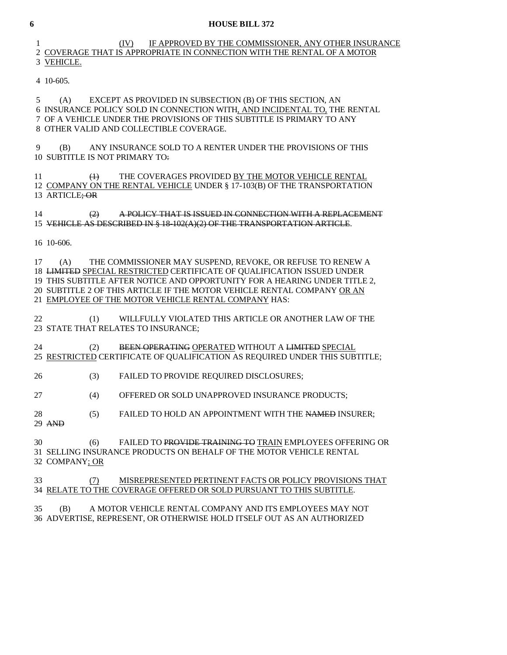## 1 (IV) IF APPROVED BY THE COMMISSIONER, ANY OTHER INSURANCE 2 COVERAGE THAT IS APPROPRIATE IN CONNECTION WITH THE RENTAL OF A MOTOR 3 VEHICLE.

4 10-605.

 5 (A) EXCEPT AS PROVIDED IN SUBSECTION (B) OF THIS SECTION, AN 6 INSURANCE POLICY SOLD IN CONNECTION WITH, AND INCIDENTAL TO, THE RENTAL 7 OF A VEHICLE UNDER THE PROVISIONS OF THIS SUBTITLE IS PRIMARY TO ANY 8 OTHER VALID AND COLLECTIBLE COVERAGE.

 9 (B) ANY INSURANCE SOLD TO A RENTER UNDER THE PROVISIONS OF THIS 10 SUBTITLE IS NOT PRIMARY TO:

11 (4) THE COVERAGES PROVIDED BY THE MOTOR VEHICLE RENTAL 12 COMPANY ON THE RENTAL VEHICLE UNDER § 17-103(B) OF THE TRANSPORTATION 13 ARTICLE; OR

 14 (2) A POLICY THAT IS ISSUED IN CONNECTION WITH A REPLACEMENT 15 VEHICLE AS DESCRIBED IN § 18-102(A)(2) OF THE TRANSPORTATION ARTICLE.

16 10-606.

 17 (A) THE COMMISSIONER MAY SUSPEND, REVOKE, OR REFUSE TO RENEW A 18 LIMITED SPECIAL RESTRICTED CERTIFICATE OF QUALIFICATION ISSUED UNDER 19 THIS SUBTITLE AFTER NOTICE AND OPPORTUNITY FOR A HEARING UNDER TITLE 2, 20 SUBTITLE 2 OF THIS ARTICLE IF THE MOTOR VEHICLE RENTAL COMPANY OR AN 21 EMPLOYEE OF THE MOTOR VEHICLE RENTAL COMPANY HAS:

 22 (1) WILLFULLY VIOLATED THIS ARTICLE OR ANOTHER LAW OF THE 23 STATE THAT RELATES TO INSURANCE;

24 (2) BEEN OPERATING OPERATED WITHOUT A LIMITED SPECIAL 25 RESTRICTED CERTIFICATE OF QUALIFICATION AS REQUIRED UNDER THIS SUBTITLE;

26 (3) FAILED TO PROVIDE REQUIRED DISCLOSURES;

27 (4) OFFERED OR SOLD UNAPPROVED INSURANCE PRODUCTS;

28 (5) FAILED TO HOLD AN APPOINTMENT WITH THE NAMED INSURER;

29 AND

 30 (6) FAILED TO PROVIDE TRAINING TO TRAIN EMPLOYEES OFFERING OR 31 SELLING INSURANCE PRODUCTS ON BEHALF OF THE MOTOR VEHICLE RENTAL 32 COMPANY; OR

 33 (7) MISREPRESENTED PERTINENT FACTS OR POLICY PROVISIONS THAT 34 RELATE TO THE COVERAGE OFFERED OR SOLD PURSUANT TO THIS SUBTITLE.

 35 (B) A MOTOR VEHICLE RENTAL COMPANY AND ITS EMPLOYEES MAY NOT 36 ADVERTISE, REPRESENT, OR OTHERWISE HOLD ITSELF OUT AS AN AUTHORIZED